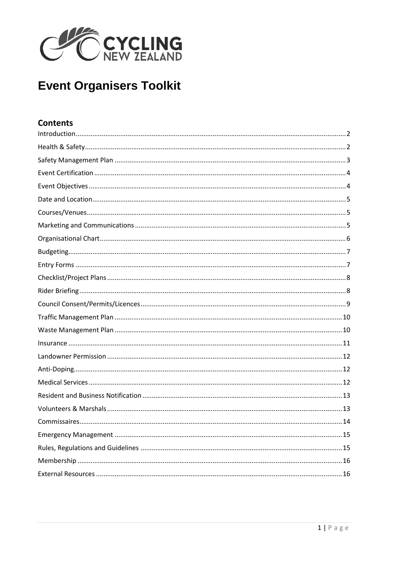

# **Event Organisers Toolkit**

# **Contents**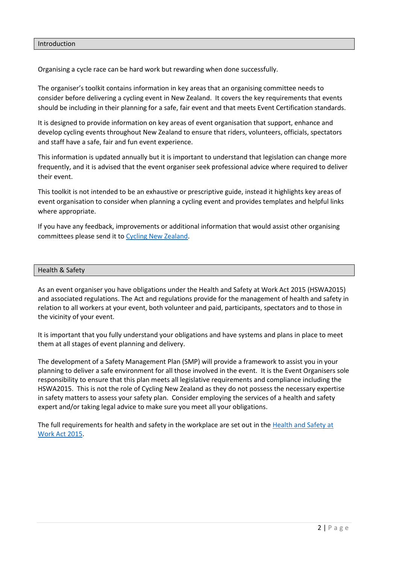<span id="page-1-0"></span>Organising a cycle race can be hard work but rewarding when done successfully.

The organiser's toolkit contains information in key areas that an organising committee needs to consider before delivering a cycling event in New Zealand. It covers the key requirements that events should be including in their planning for a safe, fair event and that meets Event Certification standards.

It is designed to provide information on key areas of event organisation that support, enhance and develop cycling events throughout New Zealand to ensure that riders, volunteers, officials, spectators and staff have a safe, fair and fun event experience.

This information is updated annually but it is important to understand that legislation can change more frequently, and it is advised that the event organiser seek professional advice where required to deliver their event.

This toolkit is not intended to be an exhaustive or prescriptive guide, instead it highlights key areas of event organisation to consider when planning a cycling event and provides templates and helpful links where appropriate.

If you have any feedback, improvements or additional information that would assist other organising committees please send it to [Cycling New Zealand.](mailto:events@cyclingnewzealand.nz?subject=Event%20Certification%20Query)

#### <span id="page-1-1"></span>Health & Safety

As an event organiser you have obligations under the Health and Safety at Work Act 2015 (HSWA2015) and associated regulations. The Act and regulations provide for the management of health and safety in relation to all workers at your event, both volunteer and paid, participants, spectators and to those in the vicinity of your event.

It is important that you fully understand your obligations and have systems and plans in place to meet them at all stages of event planning and delivery.

The development of a Safety Management Plan (SMP) will provide a framework to assist you in your planning to deliver a safe environment for all those involved in the event. It is the Event Organisers sole responsibility to ensure that this plan meets all legislative requirements and compliance including the HSWA2015. This is not the role of Cycling New Zealand as they do not possess the necessary expertise in safety matters to assess your safety plan. Consider employing the services of a health and safety expert and/or taking legal advice to make sure you meet all your obligations.

The full requirements for health and safety in the workplace are set out in the [Health and Safety at](http://legislation.govt.nz/act/public/2015/0070/latest/DLM5976660.html)  [Work Act 2015.](http://legislation.govt.nz/act/public/2015/0070/latest/DLM5976660.html)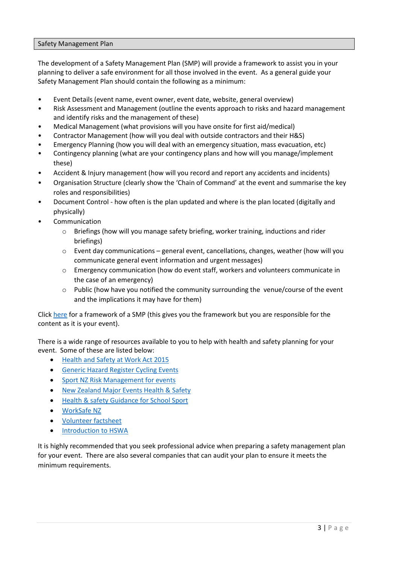### <span id="page-2-0"></span>Safety Management Plan

The development of a Safety Management Plan (SMP) will provide a framework to assist you in your planning to deliver a safe environment for all those involved in the event. As a general guide your Safety Management Plan should contain the following as a minimum:

- Event Details (event name, event owner, event date, website, general overview)
- Risk Assessment and Management (outline the events approach to risks and hazard management and identify risks and the management of these)
- Medical Management (what provisions will you have onsite for first aid/medical)
- Contractor Management (how will you deal with outside contractors and their H&S)
- Emergency Planning (how you will deal with an emergency situation, mass evacuation, etc)
- Contingency planning (what are your contingency plans and how will you manage/implement these)
- Accident & Injury management (how will you record and report any accidents and incidents)
- Organisation Structure (clearly show the 'Chain of Command' at the event and summarise the key roles and responsibilities)
- Document Control how often is the plan updated and where is the plan located (digitally and physically)
- **Communication** 
	- $\circ$  Briefings (how will you manage safety briefing, worker training, inductions and rider briefings)
	- $\circ$  Event day communications general event, cancellations, changes, weather (how will you communicate general event information and urgent messages)
	- o Emergency communication (how do event staff, workers and volunteers communicate in the case of an emergency)
	- $\circ$  Public (how have you notified the community surrounding the venue/course of the event and the implications it may have for them)

Click [here](https://www.cyclingnewzealand.nz/event-resources) for a framework of a SMP (this gives you the framework but you are responsible for the content as it is your event).

There is a wide range of resources available to you to help with health and safety planning for your event. Some of these are listed below:

- [Health and Safety at Work Act 2015](http://legislation.govt.nz/act/public/2015/0070/latest/DLM5976660.html)
- **[Generic Hazard Register Cycling Events](https://www.cyclingnewzealand.nz/media/2276/2276.pdf)**
- [Sport NZ Risk Management for events](http://www.sportnz.org.nz/managing-sport/search-for-a-resource/guides/risk-management-for-events)
- [New Zealand Major Events Health & Safety](http://www.majorevents.govt.nz/resource-bank/health-safety)
- [Health & safety Guidance for School Sport](https://www.cyclingnewzealand.nz/media/2278/2278.pdf)
- [WorkSafe NZ](http://www.worksafe.govt.nz/worksafe)
- [Volunteer factsheet](http://www.worksafe.govt.nz/worksafe/information-guidance/all-guidance-items/volunteers-pdf-fact-sheet/volunteers.pdf)
- [Introduction to HSWA](https://worksafe.govt.nz/managing-health-and-safety/getting-started/introduction-hswa-special-guide/)

It is highly recommended that you seek professional advice when preparing a safety management plan for your event. There are also several companies that can audit your plan to ensure it meets the minimum requirements.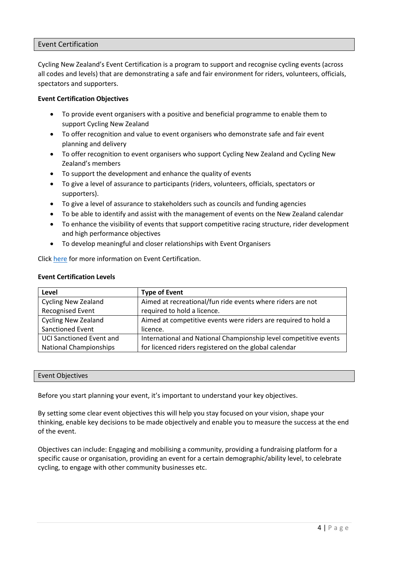# <span id="page-3-0"></span>Event Certification

Cycling New Zealand's Event Certification is a program to support and recognise cycling events (across all codes and levels) that are demonstrating a safe and fair environment for riders, volunteers, officials, spectators and supporters.

# **Event Certification Objectives**

- To provide event organisers with a positive and beneficial programme to enable them to support Cycling New Zealand
- To offer recognition and value to event organisers who demonstrate safe and fair event planning and delivery
- To offer recognition to event organisers who support Cycling New Zealand and Cycling New Zealand's members
- To support the development and enhance the quality of events
- To give a level of assurance to participants (riders, volunteers, officials, spectators or supporters).
- To give a level of assurance to stakeholders such as councils and funding agencies
- To be able to identify and assist with the management of events on the New Zealand calendar
- To enhance the visibility of events that support competitive racing structure, rider development and high performance objectives
- To develop meaningful and closer relationships with Event Organisers

Click [here](https://www.cyclingnewzealand.nz/event-certification-programme) for more information on Event Certification.

### **Event Certification Levels**

| Level                           | <b>Type of Event</b>                                             |
|---------------------------------|------------------------------------------------------------------|
| <b>Cycling New Zealand</b>      | Aimed at recreational/fun ride events where riders are not       |
| <b>Recognised Event</b>         | required to hold a licence.                                      |
| <b>Cycling New Zealand</b>      | Aimed at competitive events were riders are required to hold a   |
| Sanctioned Event                | licence.                                                         |
| <b>UCI Sanctioned Event and</b> | International and National Championship level competitive events |
| <b>National Championships</b>   | for licenced riders registered on the global calendar            |

<span id="page-3-1"></span>

| Event Objectives |  |
|------------------|--|

Before you start planning your event, it's important to understand your key objectives.

By setting some clear event objectives this will help you stay focused on your vision, shape your thinking, enable key decisions to be made objectively and enable you to measure the success at the end of the event.

Objectives can include: Engaging and mobilising a community, providing a fundraising platform for a specific cause or organisation, providing an event for a certain demographic/ability level, to celebrate cycling, to engage with other community businesses etc.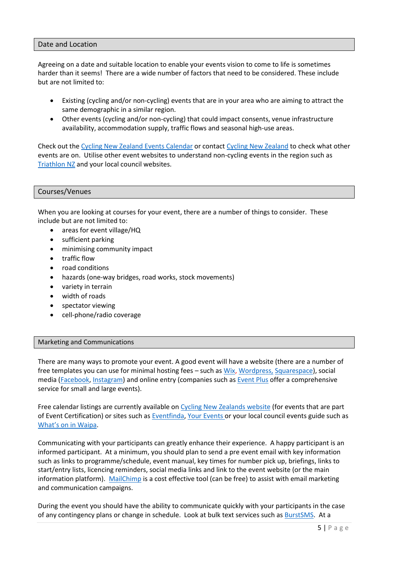### <span id="page-4-0"></span>Date and Location

Agreeing on a date and suitable location to enable your events vision to come to life is sometimes harder than it seems! There are a wide number of factors that need to be considered. These include but are not limited to:

- Existing (cycling and/or non-cycling) events that are in your area who are aiming to attract the same demographic in a similar region.
- Other events (cycling and/or non-cycling) that could impact consents, venue infrastructure availability, accommodation supply, traffic flows and seasonal high-use areas.

Check out the [Cycling New Zealand Events Calendar](https://www.cyclingnewzealand.nz/events) or contact Cycling [New Zealand](mailto:events@cyclingnewzealand.nz?subject=Event%20Certification%20Query) to check what other events are on. Utilise other event websites to understand non-cycling events in the region such as [Triathlon NZ](https://triathlon.kiwi/) and your local council websites.

# <span id="page-4-1"></span>Courses/Venues

When you are looking at courses for your event, there are a number of things to consider. These include but are not limited to:

- areas for event village/HQ
- sufficient parking
- minimising community impact
- traffic flow
- road conditions
- hazards (one-way bridges, road works, stock movements)
- variety in terrain
- width of roads
- spectator viewing
- cell-phone/radio coverage

### <span id="page-4-2"></span>Marketing and Communications

There are many ways to promote your event. A good event will have a website (there are a number of free templates you can use for minimal hosting fees – such as [Wix,](https://www.wix.com/) [Wordpress,](https://wordpress.com/) [Squarespace\)](https://www.squarespace.com/), social media [\(Facebook,](https://www.facebook.com/) [Instagram\)](https://www.instagram.com/) and online entry (companies such as [Event Plus](https://about.eventplus.net/) offer a comprehensive service for small and large events).

Free calendar listings are currently available o[n Cycling New Zealands website](https://www.cyclingnewzealand.nz/events) (for events that are part of Event Certification) or sites such as [Eventfinda,](https://www.eventfinda.co.nz/) [Your Events](http://www.yourevents.co.nz/) or your local council events guide such as What'[s on in Waipa.](http://www.whatsonwaipa.co.nz/)

Communicating with your participants can greatly enhance their experience. A happy participant is an informed participant. At a minimum, you should plan to send a pre event email with key information such as links to programme/schedule, event manual, key times for number pick up, briefings, links to start/entry lists, licencing reminders, social media links and link to the event website (or the main information platform). [MailChimp](https://mailchimp.com/) is a cost effective tool (can be free) to assist with email marketing and communication campaigns.

During the event you should have the ability to communicate quickly with your participants in the case of any contingency plans or change in schedule. Look at bulk text services such a[s BurstSMS.](https://burstsms.co.nz/) At a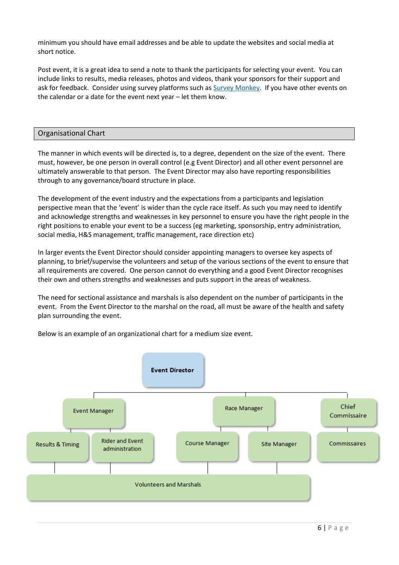minimum you should have email addresses and be able to update the websites and social media at short notice.

Post event, it is a great idea to send a note to thank the participants for selecting your event. You can include links to results, media releases, photos and videos, thank your sponsors for their support and ask for feedback. Consider using survey platforms such as [Survey Monkey.](https://www.surveymonkey.com/) If you have other events on the calendar or a date for the event next year – let them know.

# <span id="page-5-0"></span>Organisational Chart

The manner in which events will be directed is, to a degree, dependent on the size of the event. There must, however, be one person in overall control (e.g Event Director) and all other event personnel are ultimately answerable to that person. The Event Director may also have reporting responsibilities through to any governance/board structure in place.

The development of the event industry and the expectations from a participants and legislation perspective mean that the 'event' is wider than the cycle race itself. As such you may need to identify and acknowledge strengths and weaknesses in key personnel to ensure you have the right people in the right positions to enable your event to be a success (eg marketing, sponsorship, entry administration, social media, H&S management, traffic management, race direction etc)

In larger events the Event Director should consider appointing managers to oversee key aspects of planning, to brief/supervise the volunteers and setup of the various sections of the event to ensure that all requirements are covered. One person cannot do everything and a good Event Director recognises their own and others strengths and weaknesses and puts support in the areas of weakness.

The need for sectional assistance and marshals is also dependent on the number of participants in the event. From the Event Director to the marshal on the road, all must be aware of the health and safety plan surrounding the event.

**Event Director** Chief Race Manager **Event Manager** Commissaire **Rider and Event** Course Manager Commissaires **Results & Timing** Site Manager administration **Volunteers and Marshals** 

Below is an example of an organizational chart for a medium size event.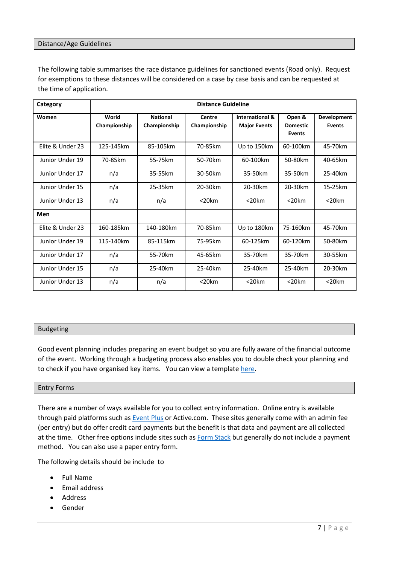### Distance/Age Guidelines

The following table summarises the race distance guidelines for sanctioned events (Road only). Request for exemptions to these distances will be considered on a case by case basis and can be requested at the time of application.

| Category         | <b>Distance Guideline</b> |                                 |                        |                                        |                                     |                              |  |
|------------------|---------------------------|---------------------------------|------------------------|----------------------------------------|-------------------------------------|------------------------------|--|
| Women            | World<br>Championship     | <b>National</b><br>Championship | Centre<br>Championship | International &<br><b>Major Events</b> | Open &<br><b>Domestic</b><br>Events | Development<br><b>Events</b> |  |
| Flite & Under 23 | 125-145km                 | 85-105km                        | 70-85km                | Up to 150km                            | 60-100km                            | 45-70km                      |  |
| Junior Under 19  | 70-85km                   | 55-75km                         | 50-70km                | 60-100km                               | 50-80km                             | 40-65km                      |  |
| Junior Under 17  | n/a                       | 35-55km                         | 30-50km                | 35-50km                                | 35-50km                             | 25-40km                      |  |
| Junior Under 15  | n/a                       | 25-35km                         | 20-30km                | 20-30km                                | 20-30km                             | 15-25km                      |  |
| Junior Under 13  | n/a                       | n/a                             | $<$ 20 $km$            | $<$ 20 $km$                            | $<$ 20 $km$                         | $<$ 20 $km$                  |  |
| Men              |                           |                                 |                        |                                        |                                     |                              |  |
| Elite & Under 23 | 160-185km                 | 140-180km                       | 70-85km                | Up to 180km                            | 75-160km                            | 45-70km                      |  |
| Junior Under 19  | 115-140km                 | 85-115km                        | 75-95km                | 60-125km                               | 60-120km                            | 50-80km                      |  |
| Junior Under 17  | n/a                       | 55-70km                         | 45-65km                | 35-70km                                | 35-70km                             | 30-55km                      |  |
| Junior Under 15  | n/a                       | 25-40km                         | 25-40km                | 25-40km                                | 25-40km                             | 20-30km                      |  |
| Junior Under 13  | n/a                       | n/a                             | $<$ 20 $km$            | $<$ 20 $km$                            | $<$ 20 $km$                         | $<$ 20 $km$                  |  |

#### <span id="page-6-0"></span>Budgeting

Good event planning includes preparing an event budget so you are fully aware of the financial outcome of the event. Working through a budgeting process also enables you to double check your planning and to check if you have organised key items. You can view a template [here.](https://www.cyclingnewzealand.nz/event-resources)

#### <span id="page-6-1"></span>Entry Forms

There are a number of ways available for you to collect entry information. Online entry is available through paid platforms such a[s Event Plus](http://about.eventplus.co.nz/) or Active.com. These sites generally come with an admin fee (per entry) but do offer credit card payments but the benefit is that data and payment are all collected at the time. Other free options include sites such a[s Form Stack](https://www.formstack.com/) but generally do not include a payment method. You can also use a paper entry form.

The following details should be include to

- Full Name
- **•** Email address
- Address
- Gender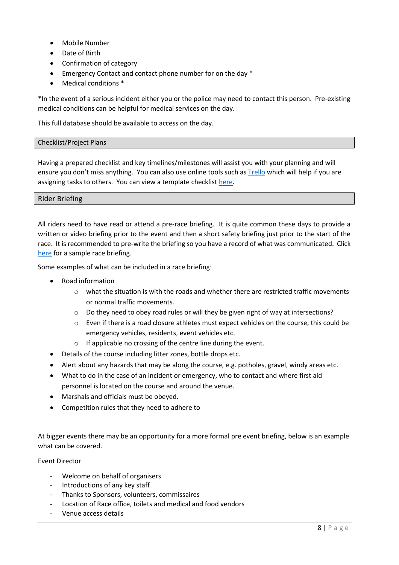- Mobile Number
- Date of Birth
- Confirmation of category
- Emergency Contact and contact phone number for on the day \*
- Medical conditions \*

\*In the event of a serious incident either you or the police may need to contact this person. Pre-existing medical conditions can be helpful for medical services on the day.

This full database should be available to access on the day.

#### <span id="page-7-0"></span>Checklist/Project Plans

Having a prepared checklist and key timelines/milestones will assist you with your planning and will ensure you don't miss anything. You can also use online tools such as [Trello](https://trello.com/) which will help if you are assigning tasks to others. You can view a template checklis[t here.](https://www.cyclingnewzealand.nz/event-resources)

### <span id="page-7-1"></span>Rider Briefing

All riders need to have read or attend a pre-race briefing. It is quite common these days to provide a written or video briefing prior to the event and then a short safety briefing just prior to the start of the race. It is recommended to pre-write the briefing so you have a record of what was communicated. Click [here](https://www.cyclingnewzealand.nz/event-resources) for a sample race briefing.

Some examples of what can be included in a race briefing:

- Road information
	- $\circ$  what the situation is with the roads and whether there are restricted traffic movements or normal traffic movements.
	- $\circ$  Do they need to obey road rules or will they be given right of way at intersections?
	- o Even if there is a road closure athletes must expect vehicles on the course, this could be emergency vehicles, residents, event vehicles etc.
	- o If applicable no crossing of the centre line during the event.
- Details of the course including litter zones, bottle drops etc.
- Alert about any hazards that may be along the course, e.g. potholes, gravel, windy areas etc.
- What to do in the case of an incident or emergency, who to contact and where first aid personnel is located on the course and around the venue.
- Marshals and officials must be obeved.
- Competition rules that they need to adhere to

At bigger events there may be an opportunity for a more formal pre event briefing, below is an example what can be covered.

Event Director

- Welcome on behalf of organisers
- Introductions of any key staff
- Thanks to Sponsors, volunteers, commissaires
- Location of Race office, toilets and medical and food vendors
- Venue access details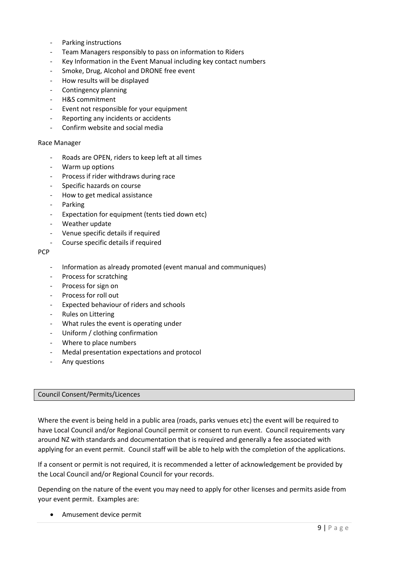- Parking instructions
- Team Managers responsibly to pass on information to Riders
- Key Information in the Event Manual including key contact numbers
- Smoke, Drug, Alcohol and DRONE free event
- How results will be displayed
- Contingency planning
- H&S commitment
- Event not responsible for your equipment
- Reporting any incidents or accidents
- Confirm website and social media

#### Race Manager

- Roads are OPEN, riders to keep left at all times
- Warm up options
- Process if rider withdraws during race
- Specific hazards on course
- How to get medical assistance
- Parking
- Expectation for equipment (tents tied down etc)
- Weather update
- Venue specific details if required
- Course specific details if required

#### **PCP**

- Information as already promoted (event manual and communiques)
- Process for scratching
- Process for sign on
- Process for roll out
- Expected behaviour of riders and schools
- Rules on Littering
- What rules the event is operating under
- Uniform / clothing confirmation
- Where to place numbers
- Medal presentation expectations and protocol
- Any questions

### <span id="page-8-0"></span>Council Consent/Permits/Licences

Where the event is being held in a public area (roads, parks venues etc) the event will be required to have Local Council and/or Regional Council permit or consent to run event. Council requirements vary around NZ with standards and documentation that is required and generally a fee associated with applying for an event permit. Council staff will be able to help with the completion of the applications.

If a consent or permit is not required, it is recommended a letter of acknowledgement be provided by the Local Council and/or Regional Council for your records.

Depending on the nature of the event you may need to apply for other licenses and permits aside from your event permit. Examples are:

Amusement device permit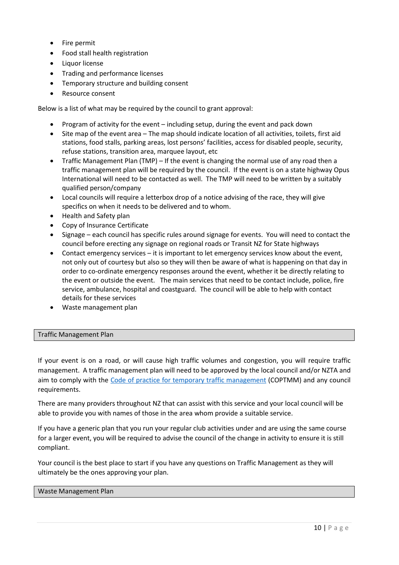- Fire permit
- Food stall health registration
- Liquor license
- Trading and performance licenses
- Temporary structure and building consent
- Resource consent

Below is a list of what may be required by the council to grant approval:

- Program of activity for the event including setup, during the event and pack down
- Site map of the event area The map should indicate location of all activities, toilets, first aid stations, food stalls, parking areas, lost persons' facilities, access for disabled people, security, refuse stations, transition area, marquee layout, etc
- Traffic Management Plan (TMP) If the event is changing the normal use of any road then a traffic management plan will be required by the council. If the event is on a state highway Opus International will need to be contacted as well. The TMP will need to be written by a suitably qualified person/company
- Local councils will require a letterbox drop of a notice advising of the race, they will give specifics on when it needs to be delivered and to whom.
- Health and Safety plan
- Copy of Insurance Certificate
- Signage each council has specific rules around signage for events. You will need to contact the council before erecting any signage on regional roads or Transit NZ for State highways
- Contact emergency services it is important to let emergency services know about the event, not only out of courtesy but also so they will then be aware of what is happening on that day in order to co-ordinate emergency responses around the event, whether it be directly relating to the event or outside the event. The main services that need to be contact include, police, fire service, ambulance, hospital and coastguard. The council will be able to help with contact details for these services
- Waste management plan

### <span id="page-9-0"></span>Traffic Management Plan

If your event is on a road, or will cause high traffic volumes and congestion, you will require traffic management. A traffic management plan will need to be approved by the local council and/or NZTA and aim to comply with the [Code of practice for temporary traffic](https://www.nzta.govt.nz/resources/code-temp-traffic-management) management (COPTMM) and any council requirements.

There are many providers throughout NZ that can assist with this service and your local council will be able to provide you with names of those in the area whom provide a suitable service.

If you have a generic plan that you run your regular club activities under and are using the same course for a larger event, you will be required to advise the council of the change in activity to ensure it is still compliant.

Your council is the best place to start if you have any questions on Traffic Management as they will ultimately be the ones approving your plan.

#### <span id="page-9-1"></span>Waste Management Plan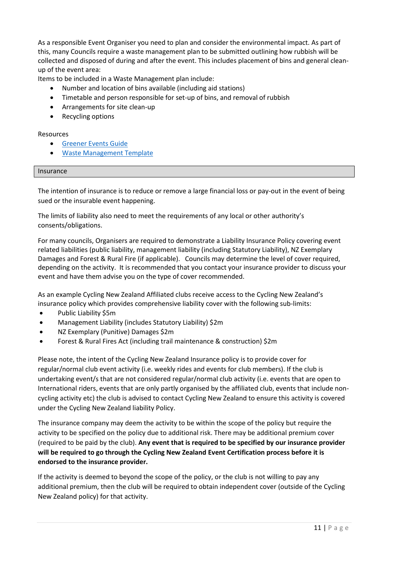As a responsible Event Organiser you need to plan and consider the environmental impact. As part of this, many Councils require a waste management plan to be submitted outlining how rubbish will be collected and disposed of during and after the event. This includes placement of bins and general cleanup of the event area:

Items to be included in a Waste Management plan include:

- Number and location of bins available (including aid stations)
- Timetable and person responsible for set-up of bins, and removal of rubbish
- Arrangements for site clean-up
- Recycling options

### Resources

- **[Greener Events Guide](http://www.mfe.govt.nz/publications/sustainability/greener-events-guide-practical-guide-reducing-environmental-impact-you-6)**
- [Waste Management Template](http://www.aucklandcouncil.govt.nz/EN/newseventsculture/planyourevent/Documents/eventswastemanagemetnplan.pdf)

### <span id="page-10-0"></span>Insurance

The intention of insurance is to reduce or remove a large financial loss or pay-out in the event of being sued or the insurable event happening.

The limits of liability also need to meet the requirements of any local or other authority's consents/obligations.

For many councils, Organisers are required to demonstrate a Liability Insurance Policy covering event related liabilities (public liability, management liability (including Statutory Liability), NZ Exemplary Damages and Forest & Rural Fire (if applicable). Councils may determine the level of cover required, depending on the activity. It is recommended that you contact your insurance provider to discuss your event and have them advise you on the type of cover recommended.

As an example Cycling New Zealand Affiliated clubs receive access to the Cycling New Zealand's insurance policy which provides comprehensive liability cover with the following sub-limits:

- Public Liability \$5m
- Management Liability (includes Statutory Liability) \$2m
- NZ Exemplary (Punitive) Damages \$2m
- Forest & Rural Fires Act (including trail maintenance & construction) \$2m

Please note, the intent of the Cycling New Zealand Insurance policy is to provide cover for regular/normal club event activity (i.e. weekly rides and events for club members). If the club is undertaking event/s that are not considered regular/normal club activity (i.e. events that are open to International riders, events that are only partly organised by the affiliated club, events that include noncycling activity etc) the club is advised to contact Cycling New Zealand to ensure this activity is covered under the Cycling New Zealand liability Policy.

The insurance company may deem the activity to be within the scope of the policy but require the activity to be specified on the policy due to additional risk. There may be additional premium cover (required to be paid by the club). **Any event that is required to be specified by our insurance provider will be required to go through the Cycling New Zealand Event Certification process before it is endorsed to the insurance provider.**

If the activity is deemed to beyond the scope of the policy, or the club is not willing to pay any additional premium, then the club will be required to obtain independent cover (outside of the Cycling New Zealand policy) for that activity.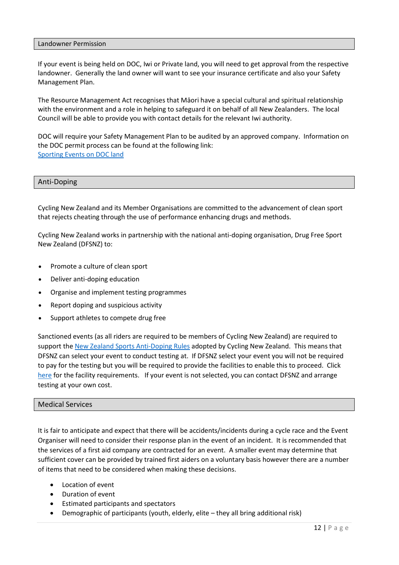#### <span id="page-11-0"></span>Landowner Permission

If your event is being held on DOC, Iwi or Private land, you will need to get approval from the respective landowner. Generally the land owner will want to see your insurance certificate and also your Safety Management Plan.

The Resource Management Act recognises that Māori have a special cultural and spiritual relationship with the environment and a role in helping to safeguard it on behalf of all New Zealanders. The local Council will be able to provide you with contact details for the relevant Iwi authority.

DOC will require your Safety Management Plan to be audited by an approved company. Information on the DOC permit process can be found at the following link: [Sporting Events on DOC land](http://www.doc.govt.nz/get-involved/apply-for-permits/business-or-activity/sporting-events/)

# <span id="page-11-1"></span>Anti-Doping

Cycling New Zealand and its Member Organisations are committed to the advancement of clean sport that rejects cheating through the use of performance enhancing drugs and methods.

Cycling New Zealand works in partnership with the national anti-doping organisation, [Drug Free Sport](http://www.drugfreesport.org.nz/)  [New Zealand](http://www.drugfreesport.org.nz/) (DFSNZ) to:

- Promote a culture of clean sport
- Deliver anti-doping education
- Organise and implement testing programmes
- Report doping and suspicious activity
- Support athletes to compete drug free

Sanctioned events (as all riders are required to be members of Cycling New Zealand) are required to support th[e New Zealand Sports Anti-Doping Rules](https://drugfreesport.org.nz/national-sports-organisations/the-anti-doping-rules/) adopted by Cycling New Zealand. This means that DFSNZ can select your event to conduct testing at. If DFSNZ select your event you will not be required to pay for the testing but you will be required to provide the facilities to enable this to proceed. Click [here](https://www.cyclingnewzealand.nz/media/2623/2623.pdf) for the facility requirements. If your event is not selected, you can contact DFSNZ and arrange testing at your own cost.

#### <span id="page-11-2"></span>Medical Services

It is fair to anticipate and expect that there will be accidents/incidents during a cycle race and the Event Organiser will need to consider their response plan in the event of an incident. It is recommended that the services of a first aid company are contracted for an event. A smaller event may determine that sufficient cover can be provided by trained first aiders on a voluntary basis however there are a number of items that need to be considered when making these decisions.

- Location of event
- Duration of event
- Estimated participants and spectators
- Demographic of participants (youth, elderly, elite they all bring additional risk)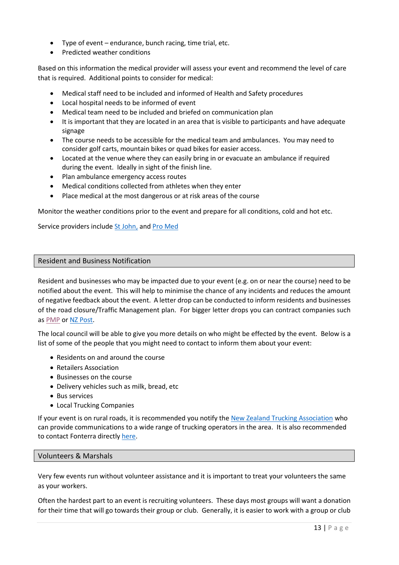- Type of event endurance, bunch racing, time trial, etc.
- Predicted weather conditions

Based on this information the medical provider will assess your event and recommend the level of care that is required. Additional points to consider for medical:

- Medical staff need to be included and informed of Health and Safety procedures
- Local hospital needs to be informed of event
- Medical team need to be included and briefed on communication plan
- It is important that they are located in an area that is visible to participants and have adequate signage
- The course needs to be accessible for the medical team and ambulances. You may need to consider golf carts, mountain bikes or quad bikes for easier access.
- Located at the venue where they can easily bring in or evacuate an ambulance if required during the event. Ideally in sight of the finish line.
- Plan ambulance emergency access routes
- Medical conditions collected from athletes when they enter
- Place medical at the most dangerous or at risk areas of the course

Monitor the weather conditions prior to the event and prepare for all conditions, cold and hot etc.

Service providers include [St John,](https://www.stjohn.org.nz/) an[d Pro Med](http://www.promed.ac.nz/)

# <span id="page-12-0"></span>Resident and Business Notification

Resident and businesses who may be impacted due to your event (e.g. on or near the course) need to be notified about the event. This will help to minimise the chance of any incidents and reduces the amount of negative feedback about the event. A letter drop can be conducted to inform residents and businesses of the road closure/Traffic Management plan. For bigger letter drops you can contract companies such as [PMP](http://pmplimited.co.nz/) or [NZ Post.](https://www.nzpost.co.nz/)

The local council will be able to give you more details on who might be effected by the event. Below is a list of some of the people that you might need to contact to inform them about your event:

- Residents on and around the course
- Retailers Association
- Businesses on the course
- Delivery vehicles such as milk, bread, etc
- Bus services
- Local Trucking Companies

If your event is on rural roads, it is recommended you notify th[e New Zealand Trucking](mailto:richard@can.org.nz?subject=Cycling%20Event%20) Association who can provide communications to a wide range of trucking operators in the area. It is also recommended to contact Fonterra directly [here.](mailto:DLTeamPlanning_Dispatch_Management_Team@fonterra.com)

### <span id="page-12-1"></span>Volunteers & Marshals

Very few events run without volunteer assistance and it is important to treat your volunteers the same as your workers.

Often the hardest part to an event is recruiting volunteers. These days most groups will want a donation for their time that will go towards their group or club. Generally, it is easier to work with a group or club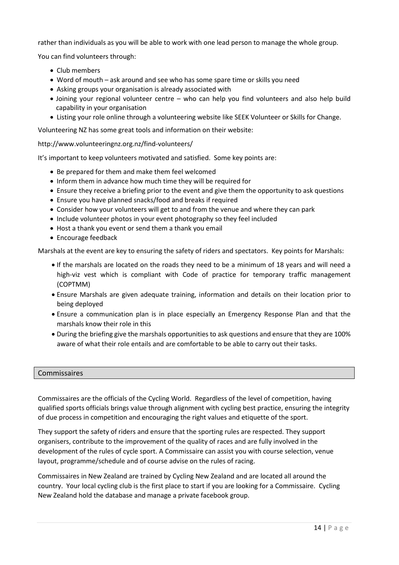rather than individuals as you will be able to work with one lead person to manage the whole group.

You can find volunteers through:

- Club members
- Word of mouth ask around and see who has some spare time or skills you need
- Asking groups your organisation is already associated with
- Joining your regional volunteer centre who can help you find volunteers and also help build capability in your organisation
- Listing your role online through a volunteering website like SEEK Volunteer or Skills for Change.

Volunteering NZ has some great tools and information on their website:

<http://www.volunteeringnz.org.nz/find-volunteers/>

It's important to keep volunteers motivated and satisfied. Some key points are:

- Be prepared for them and make them feel welcomed
- Inform them in advance how much time they will be required for
- Ensure they receive a briefing prior to the event and give them the opportunity to ask questions
- Ensure you have planned snacks/food and breaks if required
- Consider how your volunteers will get to and from the venue and where they can park
- Include volunteer photos in your event photography so they feel included
- Host a thank you event or send them a thank you email
- Encourage feedback

Marshals at the event are key to ensuring the safety of riders and spectators. Key points for Marshals:

- If the marshals are located on the roads they need to be a minimum of 18 years and will need a high-viz vest which is compliant with Code of practice for temporary traffic management (COPTMM)
- Ensure Marshals are given adequate training, information and details on their location prior to being deployed
- Ensure a communication plan is in place especially an Emergency Response Plan and that the marshals know their role in this
- During the briefing give the marshals opportunities to ask questions and ensure that they are 100% aware of what their role entails and are comfortable to be able to carry out their tasks.

### <span id="page-13-0"></span>Commissaires

Commissaires are the officials of the Cycling World. Regardless of the level of competition, having qualified sports officials brings value through alignment with cycling best practice, ensuring the integrity of due process in competition and encouraging the right values and etiquette of the sport.

They support the safety of riders and ensure that the sporting rules are respected. They support organisers, contribute to the improvement of the quality of races and are fully involved in the development of the rules of cycle sport. A Commissaire can assist you with course selection, venue layout, programme/schedule and of course advise on the rules of racing.

Commissaires in New Zealand are trained by Cycling New Zealand and are located all around the country. Your local cycling club is the first place to start if you are looking for a Commissaire. Cycling New Zealand hold the database and manage a private facebook group.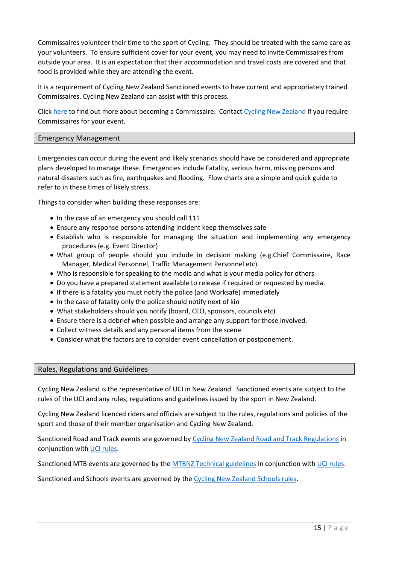Commissaires volunteer their time to the sport of Cycling. They should be treated with the same care as your volunteers. To ensure sufficient cover for your event, you may need to invite Commissaires from outside your area. It is an expectation that their accommodation and travel costs are covered and that food is provided while they are attending the event.

It is a requirement of Cycling New Zealand Sanctioned events to have current and appropriately trained Commissaires. Cycling New Zealand can assist with this process.

Click [here](https://www.cyclingnewzealand.nz/coaches-and-officials/commissaires) to find out more about becoming a Commissaire. Contact [Cycling New Zealand](mailto:events@cyclingnewzealand.nz?subject=Commissaires%20Required) if you require Commissaires for your event.

### <span id="page-14-0"></span>Emergency Management

Emergencies can occur during the event and likely scenarios should have be considered and appropriate plans developed to manage these. Emergencies include Fatality, serious harm, missing persons and natural disasters such as fire, earthquakes and flooding. Flow charts are a simple and quick guide to refer to in these times of likely stress.

Things to consider when building these responses are:

- In the case of an emergency you should call 111
- Ensure any response persons attending incident keep themselves safe
- Establish who is responsible for managing the situation and implementing any emergency procedures (e.g. Event Director)
- What group of people should you include in decision making (e.g.Chief Commissaire, Race Manager, Medical Personnel, Traffic Management Personnel etc)
- Who is responsible for speaking to the media and what is your media policy for others
- Do you have a prepared statement available to release if required or requested by media.
- If there is a fatality you must notify the police (and Worksafe) immediately
- In the case of fatality only the police should notify next of kin
- What stakeholders should you notify (board, CEO, sponsors, councils etc)
- Ensure there is a debrief when possible and arrange any support for those involved.
- Collect witness details and any personal items from the scene
- Consider what the factors are to consider event cancellation or postponement.

### <span id="page-14-1"></span>Rules, Regulations and Guidelines

Cycling New Zealand is the representative of UCI in New Zealand. Sanctioned events are subject to the rules of the UCI and any rules, regulations and guidelines issued by the sport in New Zealand.

Cycling New Zealand licenced riders and officials are subject to the rules, regulations and policies of the sport and those of their member organisation and Cycling New Zealand.

Sanctioned Road and Track events are governed b[y Cycling New Zealand Road and Track Regulations](https://www.cyclingnewzealand.nz/road/cnzrt#regs) in conjunction wit[h UCI rules.](http://www.uci.ch/inside-uci/rules-and-regulations/)

Sanctioned MTB events are governed by the [MTBNZ Technical guidelines](https://www.cyclingnewzealand.nz/mtb/mtbnz) in conjunction with [UCI rules.](http://www.uci.ch/inside-uci/rules-and-regulations/)

Sanctioned and Schools events are governed by the [Cycling New Zealand Schools rules.](https://schools.cyclingnewzealand.nz/about-us/rules-and-regulations)